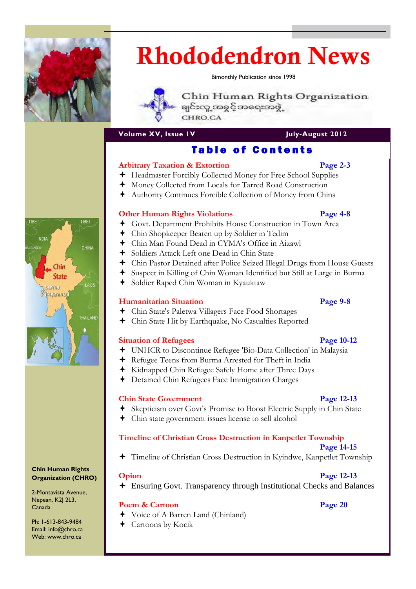

# Rhododendron News

Bimonthly Publication since 1998

Chin Human Rights Organization ချင်းလူ့ အခွင့်အရေးအဖွဲ့ CHRO.CA

**Volume XV, Issue IV** July-August 2012

## Table of Contents

## **Arbitrary Taxation & Extortion Page 2-3**

- Headmaster Forcibly Collected Money for Free School Supplies
- Money Collected from Locals for Tarred Road Construction
- Authority Continues Forcible Collection of Money from Chins

## **Other Human Rights Violations Page 4-8**

- Govt. Department Prohibits House Construction in Town Area
- Chin Shopkeeper Beaten up by Soldier in Tedim
- Chin Man Found Dead in CYMA's Office in Aizawl
- Soldiers Attack Left one Dead in Chin State
- Chin Pastor Detained after Police Seized Illegal Drugs from House Guests
- Suspect in Killing of Chin Woman Identified but Still at Large in Burma
- Soldier Raped Chin Woman in Kyauktaw

## **Humanitarian Situation Page 9-8**

- Chin State's Paletwa Villagers Face Food Shortages
- Chin State Hit by Earthquake, No Casualties Reported

## **Situation of Refugees** Page 10-12

- UNHCR to Discontinue Refugee 'Bio-Data Collection' in Malaysia
- Refugee Teens from Burma Arrested for Theft in India
- Kidnapped Chin Refugee Safely Home after Three Days
- Detained Chin Refugees Face Immigration Charges

## **Chin State Government** Page 12-13

- Skepticism over Govt's Promise to Boost Electric Supply in Chin State
- Chin state government issues license to sell alcohol

## **Timeline of Christian Cross Destruction in Kanpetlet Township**

### **Page 14-15**

Timeline of Christian Cross Destruction in Kyindwe, Kanpetlet Township

Ensuring Govt. Transparency through Institutional Checks and Balances

#### **Poem & Cartoon** Page 20

- Voice of A Barren Land (Chinland)
- Cartoons by Kocik

## **Opion** Page 12-13



**Chin Human Rights Organization (CHRO)** 

2-Montavista Avenue, Nepean, K2J 2L3, Canada

Ph: 1-613-843-9484 Email: info@chro.ca Web: www.chro.ca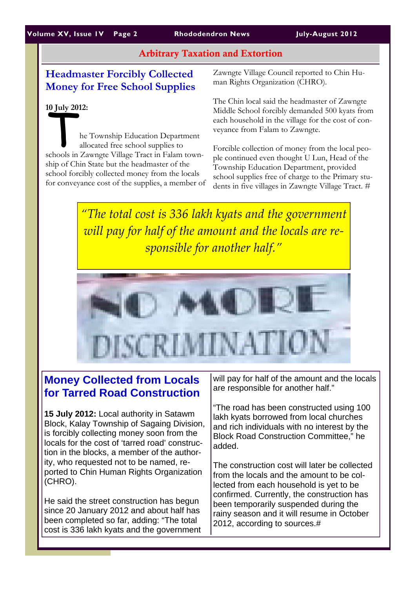## Arbitrary Taxation and Extortion

## **Headmaster Forcibly Collected Money for Free School Supplies**

#### **10 July 2012:**

The Township Education Department<br>
allocated free school supplies to<br>
schools in Zawngte Village Tract in Falam townallocated free school supplies to ship of Chin State but the headmaster of the school forcibly collected money from the locals for conveyance cost of the supplies, a member of Zawngte Village Council reported to Chin Human Rights Organization (CHRO).

The Chin local said the headmaster of Zawngte Middle School forcibly demanded 500 kyats from each household in the village for the cost of conveyance from Falam to Zawngte.

Forcible collection of money from the local people continued even thought U Lun, Head of the Township Education Department, provided school supplies free of charge to the Primary students in five villages in Zawngte Village Tract. #

*"The total cost is 336 lakh kyats and the government will pay for half of the amount and the locals are re‐ sponsible for another half."*



## **Money Collected from Locals for Tarred Road Construction**

**15 July 2012:** Local authority in Satawm Block, Kalay Township of Sagaing Division, is forcibly collecting money soon from the locals for the cost of 'tarred road' construction in the blocks, a member of the authority, who requested not to be named, reported to Chin Human Rights Organization (CHRO).

He said the street construction has begun since 20 January 2012 and about half has been completed so far, adding: "The total cost is 336 lakh kyats and the government will pay for half of the amount and the locals are responsible for another half."

"The road has been constructed using 100 lakh kyats borrowed from local churches and rich individuals with no interest by the Block Road Construction Committee," he added.

The construction cost will later be collected from the locals and the amount to be collected from each household is yet to be confirmed. Currently, the construction has been temporarily suspended during the rainy season and it will resume in October 2012, according to sources.#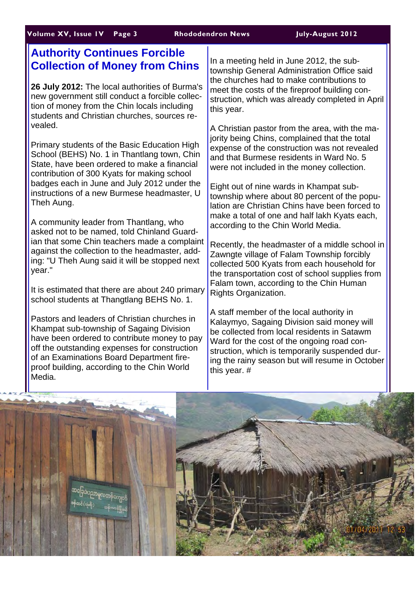## **Authority Continues Forcible Collection of Money from Chins**

**26 July 2012:** The local authorities of Burma's new government still conduct a forcible collection of money from the Chin locals including students and Christian churches, sources revealed.

Primary students of the Basic Education High School (BEHS) No. 1 in Thantlang town, Chin State, have been ordered to make a financial contribution of 300 Kyats for making school badges each in June and July 2012 under the instructions of a new Burmese headmaster, U Theh Aung.

A community leader from Thantlang, who asked not to be named, told Chinland Guardian that some Chin teachers made a complaint against the collection to the headmaster, adding: "U Theh Aung said it will be stopped next year."

It is estimated that there are about 240 primary school students at Thangtlang BEHS No. 1.

Pastors and leaders of Christian churches in Khampat sub-township of Sagaing Division have been ordered to contribute money to pay off the outstanding expenses for construction of an Examinations Board Department fireproof building, according to the Chin World Media.

In a meeting held in June 2012, the subtownship General Administration Office said the churches had to make contributions to meet the costs of the fireproof building construction, which was already completed in April this year.

A Christian pastor from the area, with the majority being Chins, complained that the total expense of the construction was not revealed and that Burmese residents in Ward No. 5 were not included in the money collection.

Eight out of nine wards in Khampat subtownship where about 80 percent of the population are Christian Chins have been forced to make a total of one and half lakh Kyats each, according to the Chin World Media.

Recently, the headmaster of a middle school in Zawngte village of Falam Township forcibly collected 500 Kyats from each household for the transportation cost of school supplies from Falam town, according to the Chin Human Rights Organization.

A staff member of the local authority in Kalaymyo, Sagaing Division said money will be collected from local residents in Satawm Ward for the cost of the ongoing road construction, which is temporarily suspended during the rainy season but will resume in October this year. #

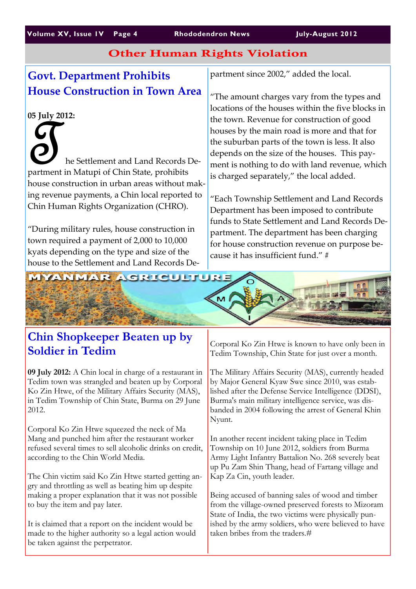#### **Volume XV, Issue 1V Page 4 Rhododendron News July-August 2012**

## Other Human Rights Violation

## **Govt. Department Prohibits House Construction in Town Area**

### **05 July 2012:**

The Settlement and Land Records Department in Matupi of Chin State, prohibits house construction in urban areas without mak‐ ing revenue payments, a Chin local reported to Chin Human Rights Organization (CHRO).

"During military rules, house construction in town required a payment of 2,000 to 10,000 kyats depending on the type and size of the house to the Settlement and Land Records De‐ partment since 2002," added the local.

"The amount charges vary from the types and locations of the houses within the five blocks in the town. Revenue for construction of good houses by the main road is more and that for the suburban parts of the town is less. It also depends on the size of the houses. This pay‐ ment is nothing to do with land revenue, which is charged separately," the local added.

"Each Township Settlement and Land Records Department has been imposed to contribute funds to State Settlement and Land Records De‐ partment. The department has been charging for house construction revenue on purpose be‐ cause it has insufficient fund." #



## **Chin Shopkeeper Beaten up by Soldier in Tedim**

**09 July 2012:** A Chin local in charge of a restaurant in Tedim town was strangled and beaten up by Corporal Ko Zin Htwe, of the Military Affairs Security (MAS), in Tedim Township of Chin State, Burma on 29 June 2012.

Corporal Ko Zin Htwe squeezed the neck of Ma Mang and punched him after the restaurant worker refused several times to sell alcoholic drinks on credit, according to the Chin World Media.

The Chin victim said Ko Zin Htwe started getting angry and throttling as well as beating him up despite making a proper explanation that it was not possible to buy the item and pay later.

It is claimed that a report on the incident would be made to the higher authority so a legal action would be taken against the perpetrator.



Corporal Ko Zin Htwe is known to have only been in Tedim Township, Chin State for just over a month.

The Military Affairs Security (MAS), currently headed by Major General Kyaw Swe since 2010, was established after the Defense Service Intelligence (DDSI), Burma's main military intelligence service, was disbanded in 2004 following the arrest of General Khin Nyunt.

In another recent incident taking place in Tedim Township on 10 June 2012, soldiers from Burma Army Light Infantry Battalion No. 268 severely beat up Pu Zam Shin Thang, head of Fartang village and Kap Za Cin, youth leader.

Being accused of banning sales of wood and timber from the village-owned preserved forests to Mizoram State of India, the two victims were physically punished by the army soldiers, who were believed to have taken bribes from the traders  $\#$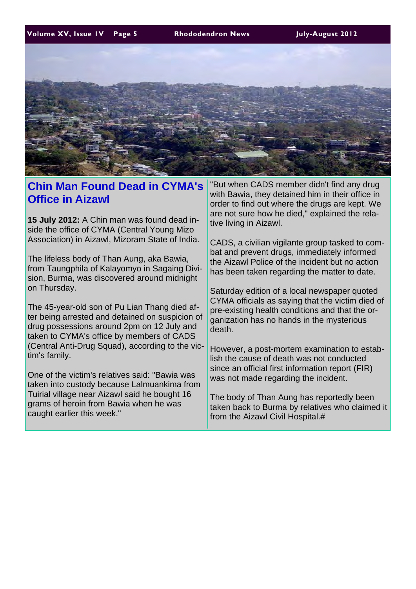**Volume XV, Issue 1V Page 5 Rhododendron News July-August 2012** 



## **Chin Man Found Dead in CYMA's Office in Aizawl**

**15 July 2012:** A Chin man was found dead inside the office of CYMA (Central Young Mizo Association) in Aizawl, Mizoram State of India.

The lifeless body of Than Aung, aka Bawia, from Taungphila of Kalayomyo in Sagaing Division, Burma, was discovered around midnight on Thursday.

The 45-year-old son of Pu Lian Thang died after being arrested and detained on suspicion of drug possessions around 2pm on 12 July and taken to CYMA's office by members of CADS (Central Anti-Drug Squad), according to the victim's family.

One of the victim's relatives said: "Bawia was taken into custody because Lalmuankima from Tuirial village near Aizawl said he bought 16 grams of heroin from Bawia when he was caught earlier this week."

"But when CADS member didn't find any drug with Bawia, they detained him in their office in order to find out where the drugs are kept. We are not sure how he died," explained the relative living in Aizawl.

CADS, a civilian vigilante group tasked to combat and prevent drugs, immediately informed the Aizawl Police of the incident but no action has been taken regarding the matter to date.

Saturday edition of a local newspaper quoted CYMA officials as saying that the victim died of pre-existing health conditions and that the organization has no hands in the mysterious death.

However, a post-mortem examination to establish the cause of death was not conducted since an official first information report (FIR) was not made regarding the incident.

The body of Than Aung has reportedly been taken back to Burma by relatives who claimed it from the Aizawl Civil Hospital.#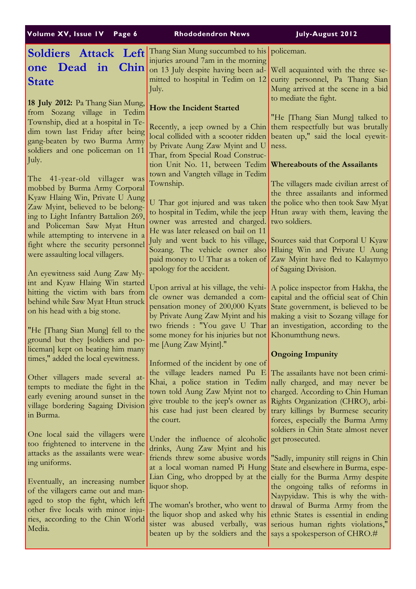| Volume XV, Issue IV Page 6                                                                                                                                                                                                                                                                                                            | <b>Rhododendron News</b>                                                                                                                                                                                                                                                                                                                                                                                   | July-August 2012                                                                                                                                                                                                                                                                                                         |
|---------------------------------------------------------------------------------------------------------------------------------------------------------------------------------------------------------------------------------------------------------------------------------------------------------------------------------------|------------------------------------------------------------------------------------------------------------------------------------------------------------------------------------------------------------------------------------------------------------------------------------------------------------------------------------------------------------------------------------------------------------|--------------------------------------------------------------------------------------------------------------------------------------------------------------------------------------------------------------------------------------------------------------------------------------------------------------------------|
| Soldiers Attack Left<br>one Dead in<br>Chin<br><b>State</b>                                                                                                                                                                                                                                                                           | Thang Sian Mung succumbed to his policeman.<br>injuries around 7am in the morning<br>on 13 July despite having been ad- Well acquainted with the three se-<br>mitted to hospital in Tedim on 12<br>July.                                                                                                                                                                                                   | curity personnel, Pa Thang Sian<br>Mung arrived at the scene in a bid<br>to mediate the fight.                                                                                                                                                                                                                           |
| 18 July 2012: Pa Thang Sian Mung,<br>from Sozang village in Tedim<br>Township, died at a hospital in Te-<br>dim town last Friday after being<br>gang-beaten by two Burma Army<br>soldiers and one policeman on 11<br>July.                                                                                                            | <b>How the Incident Started</b><br>Recently, a jeep owned by a Chin<br>by Private Aung Zaw Myint and U<br>Thar, from Special Road Construc-                                                                                                                                                                                                                                                                | "He [Thang Sian Mung] talked to<br>them respectfully but was brutally<br>local collided with a scooter ridden beaten up," said the local eyewit-<br>ness.                                                                                                                                                                |
| The 41-year-old villager was<br>mobbed by Burma Army Corporal<br>Kyaw Hlaing Win, Private U Aung<br>Zaw Myint, believed to be belong-<br>ing to Light Infantry Battalion 269,<br>and Policeman Saw Myat Htun<br>while attempting to intervene in a<br>fight where the security personnel                                              | tion Unit No. 11, between Tedim Whereabouts of the Assailants<br>town and Vangteh village in Tedim<br>Township.<br>U Thar got injured and was taken<br>to hospital in Tedim, while the jeep<br>owner was arrested and charged.<br>He was later released on bail on 11<br>July and went back to his village,<br>Sozang. The vehicle owner also                                                              | The villagers made civilian arrest of<br>the three assailants and informed<br>the police who then took Saw Myat<br>Htun away with them, leaving the<br>two soldiers.<br>Sources said that Corporal U Kyaw<br>Hlaing Win and Private U Aung                                                                               |
| were assaulting local villagers.<br>An eyewitness said Aung Zaw My-<br>int and Kyaw Hlaing Win started<br>hitting the victim with bars from<br>behind while Saw Myat Htun struck<br>on his head with a big stone.<br>"He Thang Sian Mung] fell to the<br>ground but they [soldiers and po-                                            | paid money to U Thar as a token of<br>apology for the accident.<br>Upon arrival at his village, the vehi-<br>cle owner was demanded a com-<br>pensation money of 200,000 Kyats<br>by Private Aung Zaw Myint and his<br>two friends : "You gave U Thar<br>some money for his injuries but not Khonumthung news.                                                                                             | Zaw Myint have fled to Kalaymyo<br>of Sagaing Division.<br>A police inspector from Hakha, the<br>capital and the official seat of Chin<br>State government, is believed to be<br>making a visit to Sozang village for<br>an investigation, according to the                                                              |
| liceman] kept on beating him many<br>times," added the local eyewitness.<br>Other villagers made several at-<br>tempts to mediate the fight in the<br>early evening around sunset in the<br>village bordering Sagaing Division<br>in Burma.                                                                                           | me [Aung Zaw Myint]."<br>Informed of the incident by one of<br>Khai, a police station in Tedim<br>town told Aung Zaw Myint not to<br>give trouble to the jeep's owner as<br>his case had just been cleared by<br>the court.                                                                                                                                                                                | <b>Ongoing Impunity</b><br>the village leaders named Pu $E$ The assailants have not been crimi-<br>nally charged, and may never be<br>charged. According to Chin Human<br>Rights Organization (CHRO), arbi-<br>trary killings by Burmese security<br>forces, especially the Burma Army                                   |
| One local said the villagers were<br>too frightened to intervene in the<br>attacks as the assailants were wear-<br>ing uniforms.<br>Eventually, an increasing number<br>of the villagers came out and man-<br>aged to stop the fight, which left<br>other five locals with minor inju-<br>ries, according to the Chin World<br>Media. | Under the influence of alcoholic<br>drinks, Aung Zaw Myint and his<br>friends threw some abusive words<br>at a local woman named Pi Hung<br>Lian Cing, who dropped by at the cially for the Burma Army despite<br>liquor shop.<br>The woman's brother, who went to<br>sister was abused verbally, was serious human rights violations,"<br>beaten up by the soldiers and the says a spokesperson of CHRO.# | soldiers in Chin State almost never<br>get prosecuted.<br>"Sadly, impunity still reigns in Chin<br>State and elsewhere in Burma, espe-<br>the ongoing talks of reforms in<br>Naypyidaw. This is why the with-<br>drawal of Burma Army from the<br>the liquor shop and asked why his ethnic States is essential in ending |
|                                                                                                                                                                                                                                                                                                                                       |                                                                                                                                                                                                                                                                                                                                                                                                            |                                                                                                                                                                                                                                                                                                                          |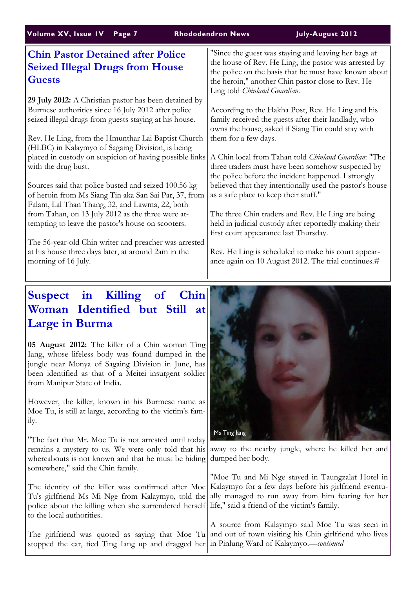| Volume XV, Issue IV<br>Page 7                                                                                                                                          | July-August 2012<br><b>Rhododendron News</b>                                                                                                                                                                                                                |
|------------------------------------------------------------------------------------------------------------------------------------------------------------------------|-------------------------------------------------------------------------------------------------------------------------------------------------------------------------------------------------------------------------------------------------------------|
| <b>Chin Pastor Detained after Police</b><br><b>Seized Illegal Drugs from House</b><br><b>Guests</b>                                                                    | "Since the guest was staying and leaving her bags at<br>the house of Rev. He Ling, the pastor was arrested by<br>the police on the basis that he must have known about<br>the heroin," another Chin pastor close to Rev. He<br>Ling told Chinland Guardian. |
| 29 July 2012: A Christian pastor has been detained by<br>Burmese authorities since 16 July 2012 after police<br>seized illegal drugs from guests staying at his house. | According to the Hakha Post, Rev. He Ling and his<br>family received the guests after their landlady, who<br>owns the house, asked if Siang Tin could stay with                                                                                             |
| Rev. He Ling, from the Hmunthar Lai Baptist Church<br>(HLBC) in Kalaymyo of Sagaing Division, is being                                                                 | them for a few days.                                                                                                                                                                                                                                        |
| placed in custody on suspicion of having possible links<br>with the drug bust.                                                                                         | A Chin local from Tahan told Chinland Guardian: "The<br>three traders must have been somehow suspected by<br>the police before the incident happened. I strongly                                                                                            |
| Sources said that police busted and seized 100.56 kg<br>of heroin from Ms Siang Tin aka San Sai Par, 37, from<br>Falam, Lal Than Thang, 32, and Lawma, 22, both        | believed that they intentionally used the pastor's house<br>as a safe place to keep their stuff."                                                                                                                                                           |
| from Tahan, on 13 July 2012 as the three were at-<br>tempting to leave the pastor's house on scooters.                                                                 | The three Chin traders and Rev. He Ling are being<br>held in judicial custody after reportedly making their<br>first court appearance last Thursday.                                                                                                        |
| The 56-year-old Chin writer and preacher was arrested<br>at his house three days later, at around 2am in the<br>morning of 16 July.                                    | Rev. He Ling is scheduled to make his court appear-<br>ance again on 10 August 2012. The trial continues.#                                                                                                                                                  |
|                                                                                                                                                                        |                                                                                                                                                                                                                                                             |

## **Suspect in Killing of Chin Woman Identified but Still at Large in Burma**

**05 August 2012:** The killer of a Chin woman Ting Iang, whose lifeless body was found dumped in the jungle near Monya of Sagaing Division in June, has been identified as that of a Meitei insurgent soldier from Manipur State of India.

However, the killer, known in his Burmese name as Moe Tu, is still at large, according to the victim's family.

"The fact that Mr. Moe Tu is not arrested until today remains a mystery to us. We were only told that his whereabouts is not known and that he must be hiding somewhere," said the Chin family.

The identity of the killer was confirmed after Moe Tu's girlfriend Ms Mi Nge from Kalaymyo, told the police about the killing when she surrendered herself life," said a friend of the victim's family. to the local authorities.

stopped the car, tied Ting Iang up and dragged her in Pinlung Ward of Kalaymyo.—*continued*



away to the nearby jungle, where he killed her and dumped her body.

"Moe Tu and Mi Nge stayed in Taungzalat Hotel in Kalaymyo for a few days before his girlfriend eventually managed to run away from him fearing for her

The girlfriend was quoted as saying that Moe Tu and out of town visiting his Chin girlfriend who lives A source from Kalaymyo said Moe Tu was seen in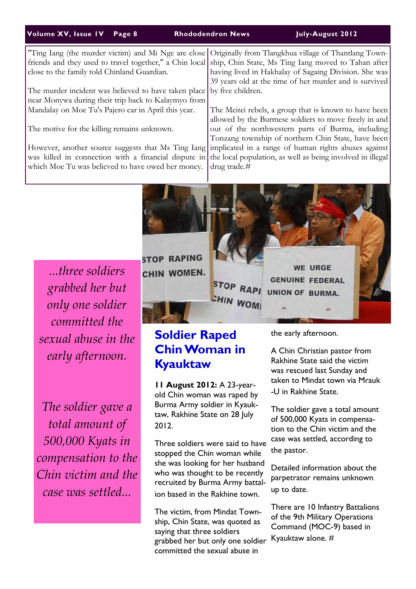#### **Volume XV, Issue 1V Page 8 Rhododendron News July-August 2012**

|                                                                | "Ting Iang (the murder victim) and Mi Nge are close Originally from Tlangkhua village of Thantlang Town-<br>friends and they used to travel together," a Chin local ship, Chin State, Ms Ting Iang moved to Tahan after |  |
|----------------------------------------------------------------|-------------------------------------------------------------------------------------------------------------------------------------------------------------------------------------------------------------------------|--|
| close to the family told Chinland Guardian.                    | having lived in Hakhalay of Sagaing Division. She was                                                                                                                                                                   |  |
|                                                                | 39 years old at the time of her murder and is survived                                                                                                                                                                  |  |
| The murder incident was believed to have taken place           | by five children.                                                                                                                                                                                                       |  |
| near Monywa during their trip back to Kalaymyo from            |                                                                                                                                                                                                                         |  |
| Mandalay on Moe Tu's Pajero car in April this year.            | The Meitei rebels, a group that is known to have been                                                                                                                                                                   |  |
|                                                                | allowed by the Burmese soldiers to move freely in and                                                                                                                                                                   |  |
| The motive for the killing remains unknown.                    | out of the northwestern parts of Burma, including                                                                                                                                                                       |  |
|                                                                | Tonzang township of northern Chin State, have been                                                                                                                                                                      |  |
|                                                                | However, another source suggests that Ms Ting Iang implicated in a range of human rights abuses against                                                                                                                 |  |
|                                                                | was killed in connection with a financial dispute in the local population, as well as being involved in illegal                                                                                                         |  |
| which Moe Tu was believed to have owed her money. drug trade.# |                                                                                                                                                                                                                         |  |
|                                                                |                                                                                                                                                                                                                         |  |
|                                                                |                                                                                                                                                                                                                         |  |

*...three soldiers grabbed her but only one soldier committed the sexual abuse in the early afternoon.*

*The soldier gave a total amount of 500,000 Kyats in compensation to the Chin victim and the case was settled...*

**STOP RAPING** CHIN WOMEN. STOP RAPI **CHIN WOM** 

## **Soldier Raped Chin Woman in Kyauktaw**

**11 August 2012:** A 23-yearold Chin woman was raped by Burma Army soldier in Kyauktaw, Rakhine State on 28 July 2012.

Three soldiers were said to have stopped the Chin woman while she was looking for her husband who was thought to be recently recruited by Burma Army battalion based in the Rakhine town.

The victim, from Mindat Township, Chin State, was quoted as saying that three soldiers grabbed her but only one soldier committed the sexual abuse in

the early afternoon.

**WE URGE** 

**GENUINE FEDERAL** 

UNION OF BURMA.

A Chin Christian pastor from Rakhine State said the victim was rescued last Sunday and taken to Mindat town via Mrauk -U in Rakhine State.

The soldier gave a total amount of 500,000 Kyats in compensation to the Chin victim and the case was settled, according to the pastor.

Detailed information about the parpetrator remains unknown up to date.

There are 10 Infantry Battalions of the 9th Military Operations Command (MOC-9) based in Kyauktaw alone. #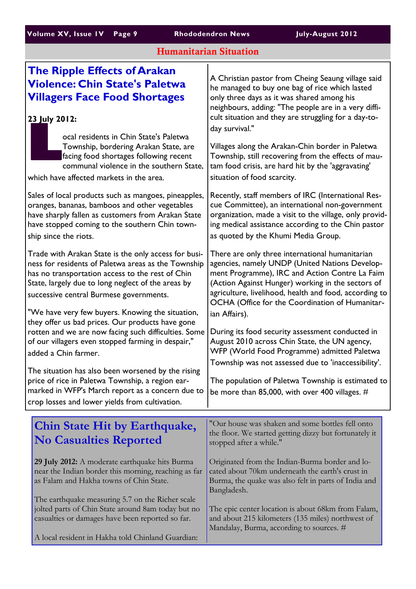## Humanitarian Situation

| <b>The Ripple Effects of Arakan</b><br><b>Violence: Chin State's Paletwa</b><br><b>Villagers Face Food Shortages</b><br>23 July 2012:                                                                                                                                                                                | A Christian pastor from Cheing Seaung village said<br>he managed to buy one bag of rice which lasted<br>only three days as it was shared among his<br>neighbours, adding: "The people are in a very diffi-<br>cult situation and they are struggling for a day-to-                                                                     |
|----------------------------------------------------------------------------------------------------------------------------------------------------------------------------------------------------------------------------------------------------------------------------------------------------------------------|----------------------------------------------------------------------------------------------------------------------------------------------------------------------------------------------------------------------------------------------------------------------------------------------------------------------------------------|
| ocal residents in Chin State's Paletwa<br>Township, bordering Arakan State, are<br>facing food shortages following recent<br>communal violence in the southern State,<br>which have affected markets in the area.                                                                                                    | day survival."<br>Villages along the Arakan-Chin border in Paletwa<br>Township, still recovering from the effects of mau-<br>tam food crisis, are hard hit by the 'aggravating'<br>situation of food scarcity.                                                                                                                         |
| Sales of local products such as mangoes, pineapples,<br>oranges, bananas, bamboos and other vegetables<br>have sharply fallen as customers from Arakan State<br>have stopped coming to the southern Chin town-<br>ship since the riots.                                                                              | Recently, staff members of IRC (International Res-<br>cue Committee), an international non-government<br>organization, made a visit to the village, only provid-<br>ing medical assistance according to the Chin pastor<br>as quoted by the Khumi Media Group.                                                                         |
| Trade with Arakan State is the only access for busi-<br>ness for residents of Paletwa areas as the Township<br>has no transportation access to the rest of Chin<br>State, largely due to long neglect of the areas by<br>successive central Burmese governments.<br>"We have very few buyers. Knowing the situation, | There are only three international humanitarian<br>agencies, namely UNDP (United Nations Develop-<br>ment Programme), IRC and Action Contre La Faim<br>(Action Against Hunger) working in the sectors of<br>agriculture, livelihood, health and food, according to<br>OCHA (Office for the Coordination of Humanitar-<br>ian Affairs). |
| they offer us bad prices. Our products have gone<br>rotten and we are now facing such difficulties. Some<br>of our villagers even stopped farming in despair,"<br>added a Chin farmer.                                                                                                                               | During its food security assessment conducted in<br>August 2010 across Chin State, the UN agency,<br>WFP (World Food Programme) admitted Paletwa                                                                                                                                                                                       |
| The situation has also been worsened by the rising<br>price of rice in Paletwa Township, a region ear-<br>marked in WFP's March report as a concern due to<br>crop losses and lower yields from cultivation.                                                                                                         | Township was not assessed due to 'inaccessibility'.<br>The population of Paletwa Township is estimated to<br>be more than 85,000, with over 400 villages. $#$                                                                                                                                                                          |
| <b>Chin State Hit by Earthquake,</b><br><b>No Casualties Reported</b>                                                                                                                                                                                                                                                | "Our house was shaken and some bottles fell onto<br>the floor. We started getting dizzy but fortunately it<br>stopped after a while."                                                                                                                                                                                                  |
| 29 July 2012: A moderate earthquake hits Burma<br>near the Indian border this morning, reaching as far<br>as Falam and Hakha towns of Chin State.                                                                                                                                                                    | Originated from the Indian-Burma border and lo-<br>cated about 70km underneath the earth's crust in<br>Burma, the quake was also felt in parts of India and<br>Bangladesh.                                                                                                                                                             |
| The earthquake measuring 5.7 on the Richer scale<br>jolted parts of Chin State around 8am today but no<br>casualties or damages have been reported so far.<br>A local resident in Hakha told Chinland Guardian:                                                                                                      | The epic center location is about 68km from Falam,<br>and about 215 kilometers (135 miles) northwest of<br>Mandalay, Burma, according to sources. #                                                                                                                                                                                    |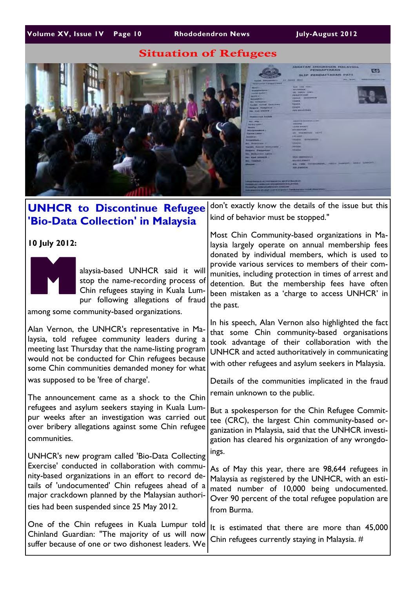## Situation of Refugees



#### **UNHCR to Discontinue Refugee 'Bio-Data Collection' in Malaysia 10 July 2012: M** alaysia-based UNHCR said it will stop the name-recording process of Chin refugees staying in Kuala Lumpur following allegations of fraud among some community-based organizations. Alan Vernon, the UNHCR's representative in Malaysia, told refugee community leaders during a meeting last Thursday that the name-listing program would not be conducted for Chin refugees because some Chin communities demanded money for what was supposed to be 'free of charge'. The announcement came as a shock to the Chin refugees and asylum seekers staying in Kuala Lumpur weeks after an investigation was carried out over bribery allegations against some Chin refugee communities. UNHCR's new program called 'Bio-Data Collecting Exercise' conducted in collaboration with community-based organizations in an effort to record details of 'undocumented' Chin refugees ahead of a major crackdown planned by the Malaysian authorities had been suspended since 25 May 2012. One of the Chin refugees in Kuala Lumpur told Chinland Guardian: "The majority of us will now suffer because of one or two dishonest leaders. We don't exactly know the details of the issue but this kind of behavior must be stopped." Most Chin Community-based organizations in Malaysia largely operate on annual membership fees donated by individual members, which is used to provide various services to members of their communities, including protection in times of arrest and detention. But the membership fees have often been mistaken as a 'charge to access UNHCR' in the past. In his speech, Alan Vernon also highlighted the fact that some Chin community-based organisations took advantage of their collaboration with the UNHCR and acted authoritatively in communicating with other refugees and asylum seekers in Malaysia. Details of the communities implicated in the fraud remain unknown to the public. But a spokesperson for the Chin Refugee Committee (CRC), the largest Chin community-based organization in Malaysia, said that the UNHCR investigation has cleared his organization of any wrongdoings. As of May this year, there are 98,644 refugees in Malaysia as registered by the UNHCR, with an estimated number of 10,000 being undocumented. Over 90 percent of the total refugee population are from Burma. It is estimated that there are more than 45,000 Chin refugees currently staying in Malaysia. #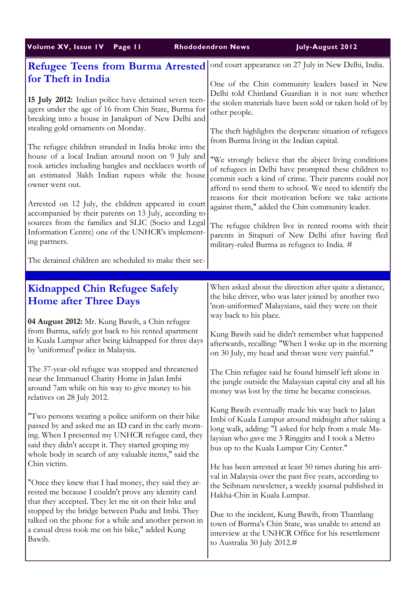| Volume XV, Issue IV                                                                                                                                                                  | July-August 2012                                                                                                                                                                                |
|--------------------------------------------------------------------------------------------------------------------------------------------------------------------------------------|-------------------------------------------------------------------------------------------------------------------------------------------------------------------------------------------------|
| Page 11                                                                                                                                                                              | <b>Rhododendron News</b>                                                                                                                                                                        |
| <b>Refugee Teens from Burma Arrested</b>                                                                                                                                             | ond court appearance on 27 July in New Delhi, India.                                                                                                                                            |
| for Theft in India                                                                                                                                                                   | One of the Chin community leaders based in New                                                                                                                                                  |
| 15 July 2012: Indian police have detained seven teen-                                                                                                                                | Delhi told Chinland Guardian it is not sure whether                                                                                                                                             |
| agers under the age of 16 from Chin State, Burma for                                                                                                                                 | the stolen materials have been sold or taken hold of by                                                                                                                                         |
| breaking into a house in Janakpuri of New Delhi and                                                                                                                                  | other people.                                                                                                                                                                                   |
| stealing gold ornaments on Monday.                                                                                                                                                   | The theft highlights the desperate situation of refugees                                                                                                                                        |
| The refugee children stranded in India broke into the                                                                                                                                | from Burma living in the Indian capital.                                                                                                                                                        |
| house of a local Indian around noon on 9 July and                                                                                                                                    | "We strongly believe that the abject living conditions                                                                                                                                          |
| took articles including bangles and necklaces worth of                                                                                                                               | of refugees in Delhi have prompted these children to                                                                                                                                            |
| an estimated 3lakh Indian rupees while the house                                                                                                                                     | commit such a kind of crime. Their parents could not                                                                                                                                            |
| owner went out.                                                                                                                                                                      | afford to send them to school. We need to identify the                                                                                                                                          |
| Arrested on 12 July, the children appeared in court                                                                                                                                  | reasons for their motivation before we take actions                                                                                                                                             |
| accompanied by their parents on 13 July, according to                                                                                                                                | against them," added the Chin community leader.                                                                                                                                                 |
| sources from the families and SLIC (Socio and Legal                                                                                                                                  | The refugee children live in rented rooms with their                                                                                                                                            |
| Information Centre) one of the UNHCR's implement-<br>ing partners.<br>The detained children are scheduled to make their sec-                                                         | parents in Sitapuri of New Delhi after having fled<br>military-ruled Burma as refugees to India. #                                                                                              |
|                                                                                                                                                                                      |                                                                                                                                                                                                 |
| <b>Kidnapped Chin Refugee Safely</b><br><b>Home after Three Days</b><br>04 August 2012: Mr. Kung Bawih, a Chin refugee                                                               | When asked about the direction after quite a distance,<br>the bike driver, who was later joined by another two<br>'non-uniformed' Malaysians, said they were on their<br>way back to his place. |
| from Burma, safely got back to his rented apartment                                                                                                                                  | Kung Bawih said he didn't remember what happened                                                                                                                                                |
| in Kuala Lumpur after being kidnapped for three days                                                                                                                                 | afterwards, recalling: "When I woke up in the morning                                                                                                                                           |
| by 'uniformed' police in Malaysia.                                                                                                                                                   | on 30 July, my head and throat were very painful."                                                                                                                                              |
| The 37-year-old refugee was stopped and threatened<br>near the Immanuel Charity Home in Jalan Imbi<br>around 7am while on his way to give money to his<br>relatives on 28 July 2012. | The Chin refugee said he found himself left alone in<br>the jungle outside the Malaysian capital city and all his<br>money was lost by the time he became conscious.                            |
| "Two persons wearing a police uniform on their bike                                                                                                                                  | Kung Bawih eventually made his way back to Jalan                                                                                                                                                |
| passed by and asked me an ID card in the early morn-                                                                                                                                 | Imbi of Kuala Lumpur around midnight after taking a                                                                                                                                             |
| ing. When I presented my UNHCR refugee card, they                                                                                                                                    | long walk, adding: "I asked for help from a male Ma-                                                                                                                                            |
| said they didn't accept it. They started groping my                                                                                                                                  | laysian who gave me 3 Ringgits and I took a Metro                                                                                                                                               |
| whole body in search of any valuable items," said the                                                                                                                                | bus up to the Kuala Lumpur City Center."                                                                                                                                                        |
| Chin victim.                                                                                                                                                                         | He has been arrested at least 50 times during his arri-                                                                                                                                         |
| "Once they knew that I had money, they said they ar-                                                                                                                                 | val in Malaysia over the past five years, according to                                                                                                                                          |
| rested me because I couldn't prove any identity card                                                                                                                                 | the Seihnam newsletter, a weekly journal published in                                                                                                                                           |
| that they accepted. They let me sit on their bike and                                                                                                                                | Hakha-Chin in Kuala Lumpur.                                                                                                                                                                     |
| stopped by the bridge between Pudu and Imbi. They                                                                                                                                    | Due to the incident, Kung Bawih, from Thantlang                                                                                                                                                 |
| talked on the phone for a while and another person in                                                                                                                                | town of Burma's Chin State, was unable to attend an                                                                                                                                             |
| a casual dress took me on his bike," added Kung                                                                                                                                      | interview at the UNHCR Office for his resettlement                                                                                                                                              |
| Bawih.                                                                                                                                                                               | to Australia 30 July 2012.#                                                                                                                                                                     |
|                                                                                                                                                                                      |                                                                                                                                                                                                 |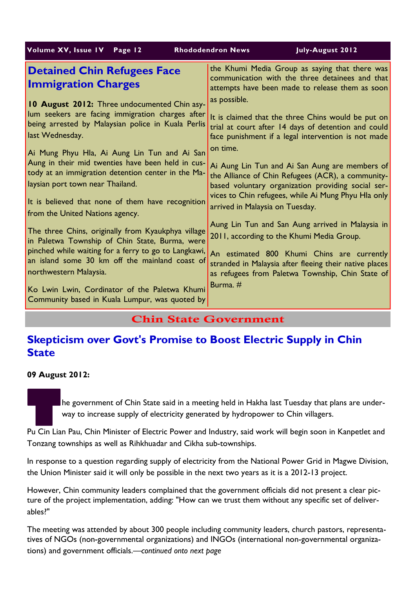| Volume XV, Issue IV<br>Page 12                                                                                                                                                                                                           | July-August 2012<br><b>Rhododendron News</b>                                                                                                                                                                     |
|------------------------------------------------------------------------------------------------------------------------------------------------------------------------------------------------------------------------------------------|------------------------------------------------------------------------------------------------------------------------------------------------------------------------------------------------------------------|
| <b>Detained Chin Refugees Face</b><br><b>Immigration Charges</b>                                                                                                                                                                         | the Khumi Media Group as saying that there was<br>communication with the three detainees and that<br>attempts have been made to release them as soon                                                             |
| 10 August 2012: Three undocumented Chin asy-<br>lum seekers are facing immigration charges after<br>being arrested by Malaysian police in Kuala Perlis                                                                                   | as possible.<br>It is claimed that the three Chins would be put on<br>trial at court after 14 days of detention and could                                                                                        |
| last Wednesday.<br>Ai Mung Phyu Hla, Ai Aung Lin Tun and Ai San<br>Aung in their mid twenties have been held in cus-                                                                                                                     | face punishment if a legal intervention is not made<br>on time.                                                                                                                                                  |
| tody at an immigration detention center in the Ma-<br>laysian port town near Thailand.                                                                                                                                                   | Ai Aung Lin Tun and Ai San Aung are members of<br>the Alliance of Chin Refugees (ACR), a community-<br>based voluntary organization providing social ser-<br>vices to Chin refugees, while Ai Mung Phyu Hla only |
| It is believed that none of them have recognition<br>from the United Nations agency.                                                                                                                                                     | arrived in Malaysia on Tuesday.<br>Aung Lin Tun and San Aung arrived in Malaysia in                                                                                                                              |
| The three Chins, originally from Kyaukphya village<br>in Paletwa Township of Chin State, Burma, were<br>pinched while waiting for a ferry to go to Langkawi,<br>an island some 30 km off the mainland coast of<br>northwestern Malaysia. | 2011, according to the Khumi Media Group.                                                                                                                                                                        |
|                                                                                                                                                                                                                                          | An estimated 800 Khumi Chins are currently<br>stranded in Malaysia after fleeing their native places<br>as refugees from Paletwa Township, Chin State of                                                         |
| Ko Lwin Lwin, Cordinator of the Paletwa Khumi<br>Community based in Kuala Lumpur, was quoted by                                                                                                                                          | Burma, $#$                                                                                                                                                                                                       |

## Chin State Government

## **Skepticism over Govt's Promise to Boost Electric Supply in Chin State**

**09 August 2012:** 

The government of Chin State said in a meeting held in Hakha last Tuesday that plans are under-<br>Way to increase supply of electricity generated by hydropower to Chin villagers.<br>Pu Cin Lian Pau, Chin Minister of Electric Po way to increase supply of electricity generated by hydropower to Chin villagers.

Tonzang townships as well as Rihkhuadar and Cikha sub-townships.

In response to a question regarding supply of electricity from the National Power Grid in Magwe Division, the Union Minister said it will only be possible in the next two years as it is a 2012-13 project.

However, Chin community leaders complained that the government officials did not present a clear picture of the project implementation, adding: "How can we trust them without any specific set of deliverables?"

The meeting was attended by about 300 people including community leaders, church pastors, representatives of NGOs (non-governmental organizations) and INGOs (international non-governmental organizations) and government officials.—*continued onto next page*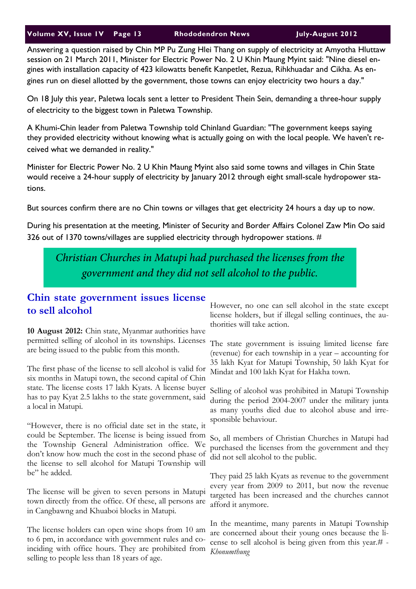Answering a question raised by Chin MP Pu Zung Hlei Thang on supply of electricity at Amyotha Hluttaw session on 21 March 2011, Minister for Electric Power No. 2 U Khin Maung Myint said: "Nine diesel engines with installation capacity of 423 kilowatts benefit Kanpetlet, Rezua, Rihkhuadar and Cikha. As engines run on diesel allotted by the government, those towns can enjoy electricity two hours a day."

On 18 July this year, Paletwa locals sent a letter to President Thein Sein, demanding a three-hour supply of electricity to the biggest town in Paletwa Township.

A Khumi-Chin leader from Paletwa Township told Chinland Guardian: "The government keeps saying they provided electricity without knowing what is actually going on with the local people. We haven't received what we demanded in reality."

Minister for Electric Power No. 2 U Khin Maung Myint also said some towns and villages in Chin State would receive a 24-hour supply of electricity by January 2012 through eight small-scale hydropower stations.

But sources confirm there are no Chin towns or villages that get electricity 24 hours a day up to now.

During his presentation at the meeting, Minister of Security and Border Affairs Colonel Zaw Min Oo said 326 out of 1370 towns/villages are supplied electricity through hydropower stations. #

*Christian Churches in Matupi had purchased the licenses from the government and they did not sell alcohol to the public.* 

## **Chin state government issues license to sell alcohol**

**10 August 2012:** Chin state, Myanmar authorities have permitted selling of alcohol in its townships. Licenses are being issued to the public from this month.

The first phase of the license to sell alcohol is valid for six months in Matupi town, the second capital of Chin state. The license costs 17 lakh Kyats. A license buyer has to pay Kyat 2.5 lakhs to the state government, said a local in Matupi.

"However, there is no official date set in the state, it could be September. The license is being issued from the Township General Administration office. We don't know how much the cost in the second phase of the license to sell alcohol for Matupi Township will be" he added.

The license will be given to seven persons in Matupi town directly from the office. Of these, all persons are in Cangbawng and Khuaboi blocks in Matupi.

The license holders can open wine shops from 10 am to 6 pm, in accordance with government rules and coinciding with office hours. They are prohibited from selling to people less than 18 years of age.

However, no one can sell alcohol in the state except license holders, but if illegal selling continues, the authorities will take action.

The state government is issuing limited license fare (revenue) for each township in a year – accounting for 35 lakh Kyat for Matupi Township, 50 lakh Kyat for Mindat and 100 lakh Kyat for Hakha town.

Selling of alcohol was prohibited in Matupi Township during the period 2004-2007 under the military junta as many youths died due to alcohol abuse and irresponsible behaviour.

So, all members of Christian Churches in Matupi had purchased the licenses from the government and they did not sell alcohol to the public.

They paid 25 lakh Kyats as revenue to the government every year from 2009 to 2011, but now the revenue targeted has been increased and the churches cannot afford it anymore.

In the meantime, many parents in Matupi Township are concerned about their young ones because the license to sell alcohol is being given from this year.# - *Khonumthung*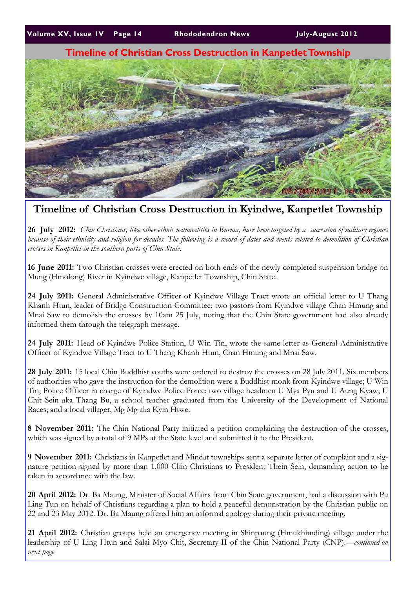## **Timeline of Christian Cross Destruction in Kanpetlet Township**



## **Timeline of Christian Cross Destruction in Kyindwe, Kanpetlet Township**

**26 July 2012:** *Chin Christians, like other ethnic nationalities in Burma, have been targeted by a succession of military regimes because of their ethnicity and religion for decades. The following is a record of dates and events related to demolition of Christian crosses in Kanpetlet in the southern parts of Chin State.*

**16 June 2011:** Two Christian crosses were erected on both ends of the newly completed suspension bridge on Mung (Hmolong) River in Kyindwe village, Kanpetlet Township, Chin State.

**24 July 2011:** General Administrative Officer of Kyindwe Village Tract wrote an official letter to U Thang Khanh Htun, leader of Bridge Construction Committee; two pastors from Kyindwe village Chan Hmung and Mnai Saw to demolish the crosses by 10am 25 July, noting that the Chin State government had also already informed them through the telegraph message.

**24 July 2011:** Head of Kyindwe Police Station, U Win Tin, wrote the same letter as General Administrative Officer of Kyindwe Village Tract to U Thang Khanh Htun, Chan Hmung and Mnai Saw.

**28 July 2011:** 15 local Chin Buddhist youths were ordered to destroy the crosses on 28 July 2011. Six members of authorities who gave the instruction for the demolition were a Buddhist monk from Kyindwe village; U Win Tin, Police Officer in charge of Kyindwe Police Force; two village headmen U Mya Pyu and U Aung Kyaw; U Chit Sein aka Thang Bu, a school teacher graduated from the University of the Development of National Races; and a local villager, Mg Mg aka Kyin Htwe.

**8 November 2011:** The Chin National Party initiated a petition complaining the destruction of the crosses, which was signed by a total of 9 MPs at the State level and submitted it to the President.

**9 November 2011:** Christians in Kanpetlet and Mindat townships sent a separate letter of complaint and a signature petition signed by more than 1,000 Chin Christians to President Thein Sein, demanding action to be taken in accordance with the law.

**20 April 2012:** Dr. Ba Maung, Minister of Social Affairs from Chin State government, had a discussion with Pu Ling Tun on behalf of Christians regarding a plan to hold a peaceful demonstration by the Christian public on 22 and 23 May 2012. Dr. Ba Maung offered him an informal apology during their private meeting.

**21 April 2012:** Christian groups held an emergency meeting in Shinpaung (Hmukhimding) village under the leadership of U Ling Htun and Salai Myo Chit, Secretary-II of the Chin National Party (CNP).—*continued on next page*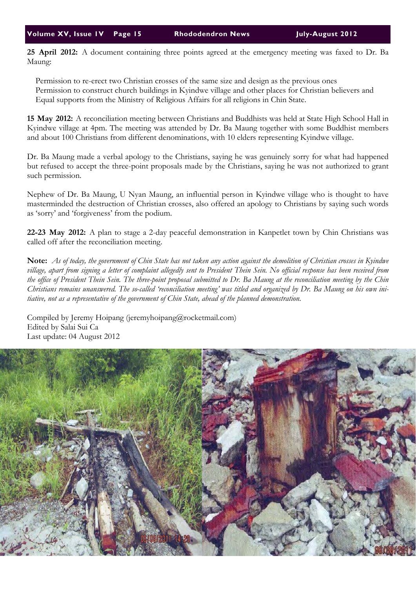**25 April 2012:** A document containing three points agreed at the emergency meeting was faxed to Dr. Ba Maung:

 Permission to re-erect two Christian crosses of the same size and design as the previous ones Permission to construct church buildings in Kyindwe village and other places for Christian believers and Equal supports from the Ministry of Religious Affairs for all religions in Chin State.

**15 May 2012:** A reconciliation meeting between Christians and Buddhists was held at State High School Hall in Kyindwe village at 4pm. The meeting was attended by Dr. Ba Maung together with some Buddhist members and about 100 Christians from different denominations, with 10 elders representing Kyindwe village.

Dr. Ba Maung made a verbal apology to the Christians, saying he was genuinely sorry for what had happened but refused to accept the three-point proposals made by the Christians, saying he was not authorized to grant such permission.

Nephew of Dr. Ba Maung, U Nyan Maung, an influential person in Kyindwe village who is thought to have masterminded the destruction of Christian crosses, also offered an apology to Christians by saying such words as 'sorry' and 'forgiveness' from the podium.

**22-23 May 2012:** A plan to stage a 2-day peaceful demonstration in Kanpetlet town by Chin Christians was called off after the reconciliation meeting.

**Note:** *As of today, the government of Chin State has not taken any action against the demolition of Christian crosses in Kyindwe village, apart from signing a letter of complaint allegedly sent to President Thein Sein. No official response has been received from the office of President Thein Sein. The three-point proposal submitted to Dr. Ba Maung at the reconciliation meeting by the Chin Christians remains unanswered. The so-called 'reconciliation meeting' was titled and organized by Dr. Ba Maung on his own initiative, not as a representative of the government of Chin State, ahead of the planned demonstration.*

Compiled by Jeremy Hoipang (jeremyhoipang@rocketmail.com) Edited by Salai Sui Ca Last update: 04 August 2012

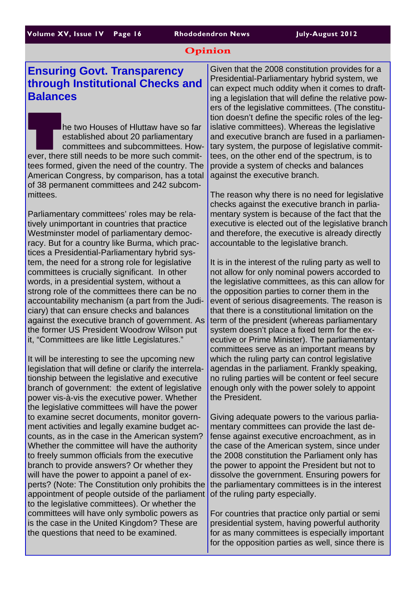#### Opinion

## **Ensuring Govt. Transparency through Institutional Checks and Balances**

**The two Houses of Hluttaw have so far**<br>
established about 20 parliamentary<br>
committees and subcommittees. How-<br>
ever, there still needs to be more such commitestablished about 20 parliamentary committees and subcommittees. Howtees formed, given the need of the country. The American Congress, by comparison, has a total of 38 permanent committees and 242 subcommittees.

Parliamentary committees' roles may be relatively unimportant in countries that practice Westminster model of parliamentary democracy. But for a country like Burma, which practices a Presidential-Parliamentary hybrid system, the need for a strong role for legislative committees is crucially significant. In other words, in a presidential system, without a strong role of the committees there can be no accountability mechanism (a part from the Judiciary) that can ensure checks and balances against the executive branch of government. As the former US President Woodrow Wilson put it, "Committees are like little Legislatures."

It will be interesting to see the upcoming new legislation that will define or clarify the interrelationship between the legislative and executive branch of government: the extent of legislative power vis-à-vis the executive power. Whether the legislative committees will have the power to examine secret documents, monitor government activities and legally examine budget accounts, as in the case in the American system? Whether the committee will have the authority to freely summon officials from the executive branch to provide answers? Or whether they will have the power to appoint a panel of experts? (Note: The Constitution only prohibits the appointment of people outside of the parliament to the legislative committees). Or whether the committees will have only symbolic powers as is the case in the United Kingdom? These are the questions that need to be examined.

Given that the 2008 constitution provides for a Presidential-Parliamentary hybrid system, we can expect much oddity when it comes to drafting a legislation that will define the relative powers of the legislative committees. (The constitution doesn't define the specific roles of the legislative committees). Whereas the legislative and executive branch are fused in a parliamentary system, the purpose of legislative committees, on the other end of the spectrum, is to provide a system of checks and balances against the executive branch.

The reason why there is no need for legislative checks against the executive branch in parliamentary system is because of the fact that the executive is elected out of the legislative branch and therefore, the executive is already directly accountable to the legislative branch.

It is in the interest of the ruling party as well to not allow for only nominal powers accorded to the legislative committees, as this can allow for the opposition parties to corner them in the event of serious disagreements. The reason is that there is a constitutional limitation on the term of the president (whereas parliamentary system doesn't place a fixed term for the executive or Prime Minister). The parliamentary committees serve as an important means by which the ruling party can control legislative agendas in the parliament. Frankly speaking, no ruling parties will be content or feel secure enough only with the power solely to appoint the President.

Giving adequate powers to the various parliamentary committees can provide the last defense against executive encroachment, as in the case of the American system, since under the 2008 constitution the Parliament only has the power to appoint the President but not to dissolve the government. Ensuring powers for the parliamentary committees is in the interest of the ruling party especially.

For countries that practice only partial or semi presidential system, having powerful authority for as many committees is especially important for the opposition parties as well, since there is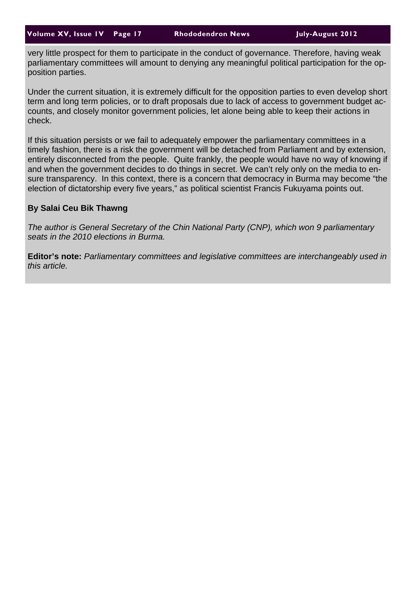very little prospect for them to participate in the conduct of governance. Therefore, having weak parliamentary committees will amount to denying any meaningful political participation for the opposition parties.

Under the current situation, it is extremely difficult for the opposition parties to even develop short term and long term policies, or to draft proposals due to lack of access to government budget accounts, and closely monitor government policies, let alone being able to keep their actions in check.

If this situation persists or we fail to adequately empower the parliamentary committees in a timely fashion, there is a risk the government will be detached from Parliament and by extension, entirely disconnected from the people. Quite frankly, the people would have no way of knowing if and when the government decides to do things in secret. We can't rely only on the media to ensure transparency. In this context, there is a concern that democracy in Burma may become "the election of dictatorship every five years," as political scientist Francis Fukuyama points out.

#### **By Salai Ceu Bik Thawng**

*The author is General Secretary of the Chin National Party (CNP), which won 9 parliamentary seats in the 2010 elections in Burma.* 

**Editor's note:** *Parliamentary committees and legislative committees are interchangeably used in this article.*